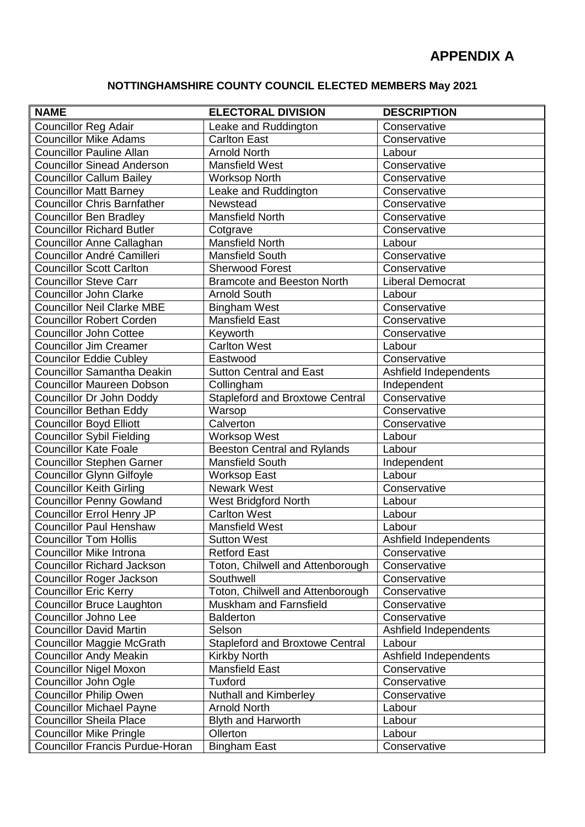## **NOTTINGHAMSHIRE COUNTY COUNCIL ELECTED MEMBERS May 2021**

| <b>NAME</b>                        | <b>ELECTORAL DIVISION</b>              | <b>DESCRIPTION</b>      |
|------------------------------------|----------------------------------------|-------------------------|
| <b>Councillor Reg Adair</b>        | Leake and Ruddington                   | Conservative            |
| <b>Councillor Mike Adams</b>       | <b>Carlton East</b>                    | Conservative            |
| <b>Councillor Pauline Allan</b>    | <b>Arnold North</b>                    | Labour                  |
| <b>Councillor Sinead Anderson</b>  | Mansfield West                         | Conservative            |
| <b>Councillor Callum Bailey</b>    | <b>Worksop North</b>                   | Conservative            |
| <b>Councillor Matt Barney</b>      | Leake and Ruddington                   | Conservative            |
| <b>Councillor Chris Barnfather</b> | Newstead                               | Conservative            |
| <b>Councillor Ben Bradley</b>      | <b>Mansfield North</b>                 | Conservative            |
| <b>Councillor Richard Butler</b>   | Cotgrave                               | Conservative            |
| Councillor Anne Callaghan          | <b>Mansfield North</b>                 | Labour                  |
| Councillor André Camilleri         | <b>Mansfield South</b>                 | Conservative            |
| <b>Councillor Scott Carlton</b>    | <b>Sherwood Forest</b>                 | Conservative            |
| <b>Councillor Steve Carr</b>       | <b>Bramcote and Beeston North</b>      | <b>Liberal Democrat</b> |
| <b>Councillor John Clarke</b>      | <b>Arnold South</b>                    | Labour                  |
| <b>Councillor Neil Clarke MBE</b>  | <b>Bingham West</b>                    | Conservative            |
| <b>Councillor Robert Corden</b>    | <b>Mansfield East</b>                  | Conservative            |
| <b>Councillor John Cottee</b>      | Keyworth                               | Conservative            |
| <b>Councillor Jim Creamer</b>      | <b>Carlton West</b>                    | Labour                  |
| <b>Councilor Eddie Cubley</b>      | Eastwood                               | Conservative            |
| <b>Councillor Samantha Deakin</b>  | <b>Sutton Central and East</b>         | Ashfield Independents   |
| <b>Councillor Maureen Dobson</b>   | Collingham                             | Independent             |
| Councillor Dr John Doddy           | <b>Stapleford and Broxtowe Central</b> | Conservative            |
| <b>Councillor Bethan Eddy</b>      | Warsop                                 | Conservative            |
| <b>Councillor Boyd Elliott</b>     | Calverton                              | Conservative            |
| <b>Councillor Sybil Fielding</b>   | <b>Worksop West</b>                    | Labour                  |
| <b>Councillor Kate Foale</b>       | <b>Beeston Central and Rylands</b>     | Labour                  |
| <b>Councillor Stephen Garner</b>   | <b>Mansfield South</b>                 | Independent             |
| <b>Councillor Glynn Gilfoyle</b>   | <b>Worksop East</b>                    | Labour                  |
| <b>Councillor Keith Girling</b>    | <b>Newark West</b>                     | Conservative            |
| <b>Councillor Penny Gowland</b>    | <b>West Bridgford North</b>            | Labour                  |
| Councillor Errol Henry JP          | Carlton West                           | Labour                  |
| <b>Councillor Paul Henshaw</b>     | <b>Mansfield West</b>                  | Labour                  |
| <b>Councillor Tom Hollis</b>       | <b>Sutton West</b>                     | Ashfield Independents   |
| <b>Councillor Mike Introna</b>     | <b>Retford East</b>                    | Conservative            |
| <b>Councillor Richard Jackson</b>  | Toton, Chilwell and Attenborough       | Conservative            |
| <b>Councillor Roger Jackson</b>    | Southwell                              | Conservative            |
| <b>Councillor Eric Kerry</b>       | Toton, Chilwell and Attenborough       | Conservative            |
| <b>Councillor Bruce Laughton</b>   | Muskham and Farnsfield                 | Conservative            |
| <b>Councillor Johno Lee</b>        | <b>Balderton</b>                       | Conservative            |
| <b>Councillor David Martin</b>     | Selson                                 | Ashfield Independents   |
| <b>Councillor Maggie McGrath</b>   | Stapleford and Broxtowe Central        | Labour                  |
| <b>Councillor Andy Meakin</b>      | Kirkby North                           | Ashfield Independents   |
| <b>Councillor Nigel Moxon</b>      | <b>Mansfield East</b>                  | Conservative            |
| Councillor John Ogle               | <b>Tuxford</b>                         | Conservative            |
| <b>Councillor Philip Owen</b>      | <b>Nuthall and Kimberley</b>           | Conservative            |
| <b>Councillor Michael Payne</b>    | <b>Arnold North</b>                    | Labour                  |
| <b>Councillor Sheila Place</b>     | Blyth and Harworth                     | Labour                  |
| <b>Councillor Mike Pringle</b>     | Ollerton                               | Labour                  |
| Councillor Francis Purdue-Horan    | <b>Bingham East</b>                    | Conservative            |